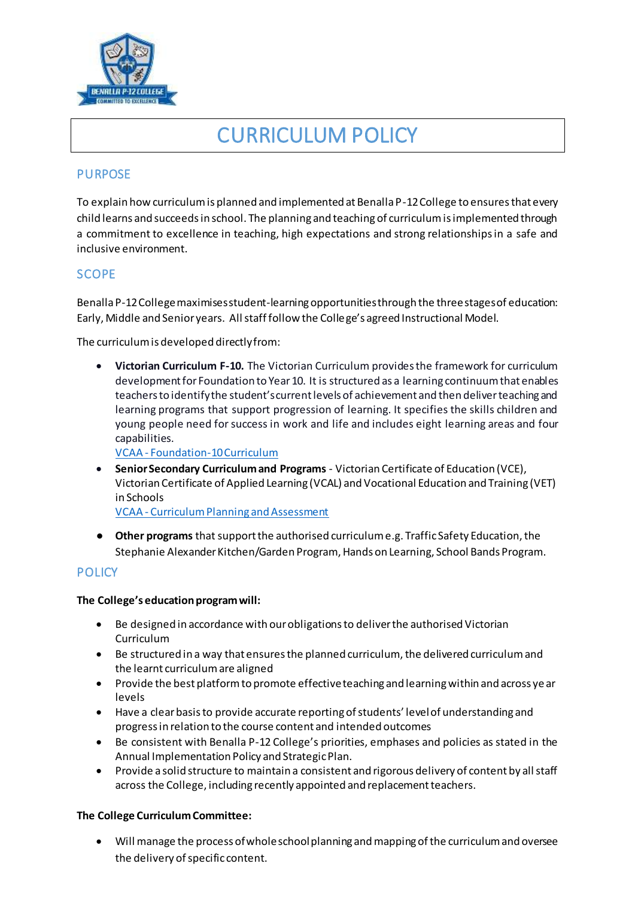

# CURRICULUM POLICY

# **PURPOSE**

To explain how curriculum is planned and implemented at Benalla P-12 College to ensures that every child learns and succeeds in school. The planning and teaching of curriculum is implemented through a commitment to excellence in teaching, high expectations and strong relationships in a safe and inclusive environment.

# **SCOPE**

Benalla P-12 College maximises student-learning opportunities through the three stages of education: Early, Middle and Senior years. All staff follow the College's agreed Instructional Model.

The curriculum is developed directly from:

 **Victorian Curriculum F-10.** The Victorian Curriculum provides the framework for curriculum development for Foundation to Year 10. It is structured as a learning continuum that enables teachers to identify the student's current levels of achievement and then deliver teaching and learning programs that support progression of learning. It specifies the skills children and young people need for success in work and life and includes eight learning areas and four capabilities.

VCAA - [Foundation-10 Curriculum](http://www.vcaa.vic.edu.au/Pages/foundation10/f10index.aspx)

 **Senior Secondary Curriculum and Programs** - Victorian Certificate of Education (VCE), Victorian Certificate of Applied Learning (VCAL) and Vocational Education and Training (VET) in Schools

VCAA - [Curriculum Planning and Assessment](http://www.vcaa.vic.edu.au/Pages/foundation10/viccurriculum/curriculumplanning.aspx)

● **Other programs** that support the authorised curriculum e.g. Traffic Safety Education, the Stephanie Alexander Kitchen/Garden Program, Hands on Learning, School Bands Program.

# **POLICY**

## **The College's education program will:**

- Be designed in accordance with our obligations to deliver the authorised Victorian Curriculum
- Be structured in a way that ensures the planned curriculum, the delivered curriculum and the learnt curriculum are aligned
- Provide the best platform to promote effective teaching and learning within and across ye ar levels
- Have a clear basis to provide accurate reporting of students' level of understanding and progress in relation to the course content and intended outcomes
- Be consistent with Benalla P-12 College's priorities, emphases and policies as stated in the Annual Implementation Policy and Strategic Plan.
- Provide a solid structure to maintain a consistent and rigorous delivery of content by all staff across the College, including recently appointed and replacement teachers.

## **The College Curriculum Committee:**

 Will manage the process of whole school planning and mapping of the curriculum and oversee the delivery of specific content.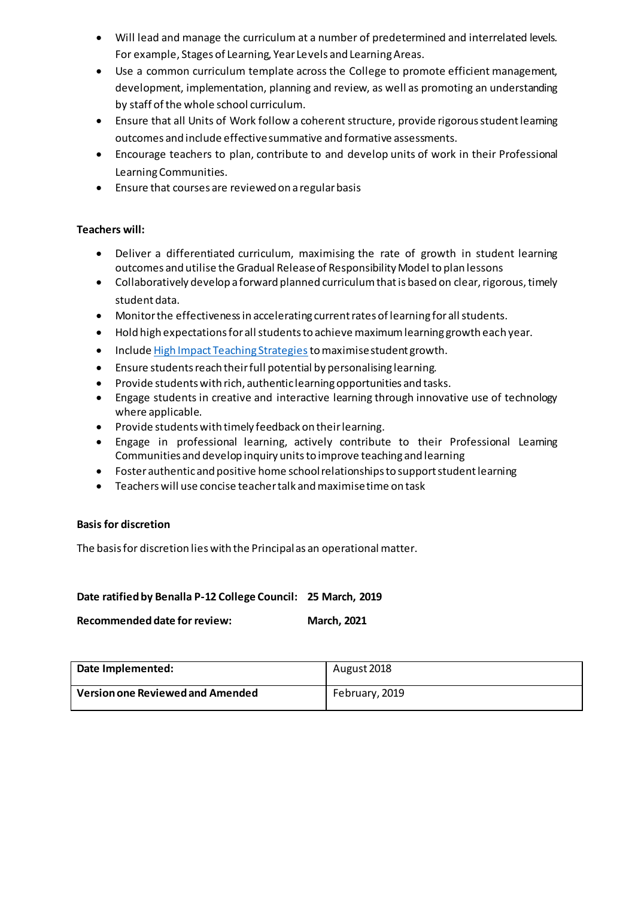- Will lead and manage the curriculum at a number of predetermined and interrelated levels. For example, Stages of Learning, Year Levels and Learning Areas.
- Use a common curriculum template across the College to promote efficient management, development, implementation, planning and review, as well as promoting an understanding by staff of the whole school curriculum.
- Ensure that all Units of Work follow a coherent structure, provide rigorous student learning outcomes and include effective summative and formative assessments.
- Encourage teachers to plan, contribute to and develop units of work in their Professional Learning Communities.
- Ensure that courses are reviewed on a regular basis

## **Teachers will:**

- Deliver a differentiated curriculum, maximising the rate of growth in student learning outcomes and utilise the Gradual Release of Responsibility Model to plan lessons
- Collaboratively develop a forward planned curriculum that is based on clear, rigorous, timely student data.
- Monitor the effectiveness in accelerating current rates of learning for all students.
- Hold high expectations for all students to achieve maximum learning growth each year.
- Includ[e High Impact Teaching Strategies](https://www.education.vic.gov.au/school/teachers/teachingresources/practice/improve/Pages/hits.aspx) to maximise student growth.
- Ensure students reach their full potential by personalising learning.
- Provide students with rich, authentic learning opportunities and tasks.
- Engage students in creative and interactive learning through innovative use of technology where applicable.
- Provide students with timely feedback on their learning.
- Engage in professional learning, actively contribute to their Professional Learning Communities and develop inquiry units to improve teaching and learning
- Foster authentic and positive home school relationships to support student learning
- Teachers will use concise teacher talk and maximise time on task

## **Basis for discretion**

The basis for discretion lies with the Principal as an operational matter.

## **Date ratified by Benalla P-12 College Council: 25 March, 2019**

**Recommended date for review: March, 2021**

| Date Implemented:                | August 2018    |
|----------------------------------|----------------|
| Version one Reviewed and Amended | February, 2019 |